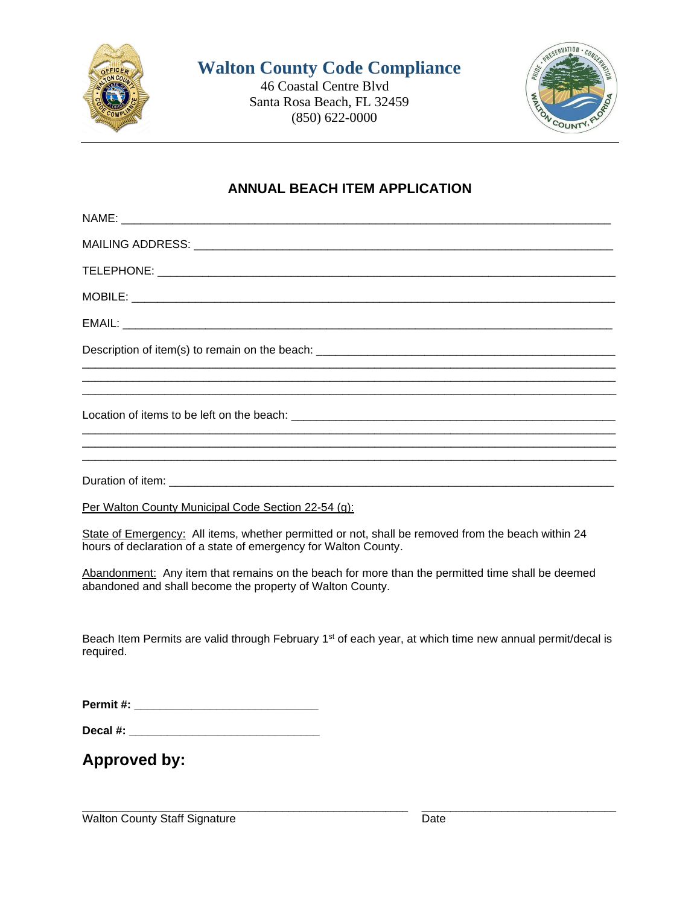

## **Walton County Code Compliance**

 46 Coastal Centre Blvd Santa Rosa Beach, FL 32459 (850) 622-0000



## **ANNUAL BEACH ITEM APPLICATION**

| Per Walton County Municipal Code Section 22-54 (g):                                                                                                                   |
|-----------------------------------------------------------------------------------------------------------------------------------------------------------------------|
| State of Emergency: All items, whether permitted or not, shall be removed from the beach within 24<br>hours of declaration of a state of emergency for Walton County. |
| Abandonment: Any item that remains on the beach for more than the permitted time shall be deemed<br>abandoned and shall become the property of Walton County.         |
| Beach Item Permits are valid through February 1 <sup>st</sup> of each year, at which time new annual permit/decal is<br>required.                                     |
|                                                                                                                                                                       |
|                                                                                                                                                                       |
| <b>Approved by:</b>                                                                                                                                                   |

 $\overline{a}$  , and the contribution of the contribution of the contribution of the contribution of the contribution of the contribution of the contribution of the contribution of the contribution of the contribution of the co

Walton County Staff Signature Date